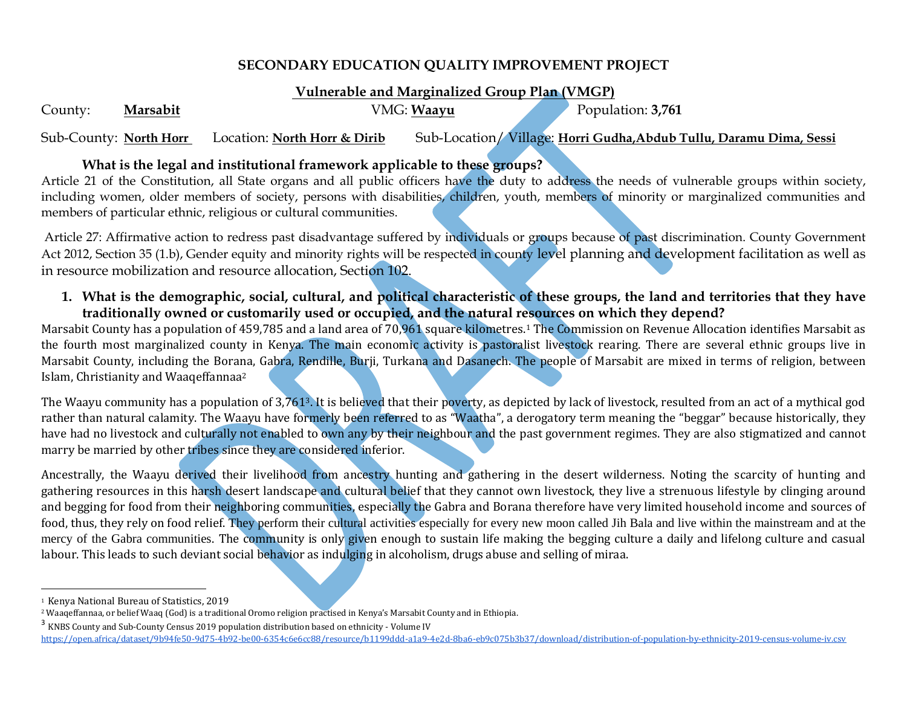# **SECONDARY EDUCATION QUALITY IMPROVEMENT PROJECT**

## **Vulnerable and Marginalized Group Plan (VMGP)**

County: Marsabit VMG: Waayu Population: 3,761

Sub-County: **North Horr** Location: **North Horr & Dirib** Sub-Location/ Village: **Horri Gudha,Abdub Tullu, Daramu Dima, Sessi**

# **What is the legal and institutional framework applicable to these groups?**

Article 21 of the Constitution, all State organs and all public officers have the duty to address the needs of vulnerable groups within society, including women, older members of society, persons with disabilities, children, youth, members of minority or marginalized communities and members of particular ethnic, religious or cultural communities.

Article 27: Affirmative action to redress past disadvantage suffered by individuals or groups because of past discrimination. County Government Act 2012, Section 35 (1.b), Gender equity and minority rights will be respected in county level planning and development facilitation as well as in resource mobilization and resource allocation, Section 102.

**1. What is the demographic, social, cultural, and political characteristic of these groups, the land and territories that they have traditionally owned or customarily used or occupied, and the natural resources on which they depend?**

Marsabit County has a population of 459,785 and a land area of 70,961 square kilometres.<sup>1</sup> The Commission on Revenue Allocation identifies Marsabit as the fourth most marginalized county in Kenya. The main economic activity is pastoralist livestock rearing. There are several ethnic groups live in Marsabit County, including the Borana, Gabra, Rendille, Burji, Turkana and Dasanech. The people of Marsabit are mixed in terms of religion, between Islam, Christianity and Waaqeffannaa<sup>2</sup>

The Waayu community has a population of 3,7613. It is believed that their poverty, as depicted by lack of livestock, resulted from an act of a mythical god rather than natural calamity. The Waayu have formerly been referred to as "Waatha", a derogatory term meaning the "beggar" because historically, they have had no livestock and culturally not enabled to own any by their neighbour and the past government regimes. They are also stigmatized and cannot marry be married by other tribes since they are considered inferior.

Ancestrally, the Waayu derived their livelihood from ancestry hunting and gathering in the desert wilderness. Noting the scarcity of hunting and gathering resources in this harsh desert landscape and cultural belief that they cannot own livestock, they live a strenuous lifestyle by clinging around and begging for food from their neighboring communities, especially the Gabra and Borana therefore have very limited household income and sources of food, thus, they rely on food relief. They perform their cultural activities especially for every new moon called Jih Bala and live within the mainstream and at the mercy of the Gabra communities. The community is only given enough to sustain life making the begging culture a daily and lifelong culture and casual labour. This leads to such deviant social behavior as indulging in alcoholism, drugs abuse and selling of miraa.

 $\overline{\phantom{a}}$ 

<sup>3</sup> KNBS County and Sub-County Census 2019 population distribution based on ethnicity - Volume IV <https://open.africa/dataset/9b94fe50-9d75-4b92-be00-6354c6e6cc88/resource/b1199ddd-a1a9-4e2d-8ba6-eb9c075b3b37/download/distribution-of-population-by-ethnicity-2019-census-volume-iv.csv>

<sup>1</sup> Kenya National Bureau of Statistics, 2019

<sup>2</sup> Waaqeffannaa, or belief Waaq (God) is a traditional Oromo religion practised in Kenya's Marsabit County and in Ethiopia.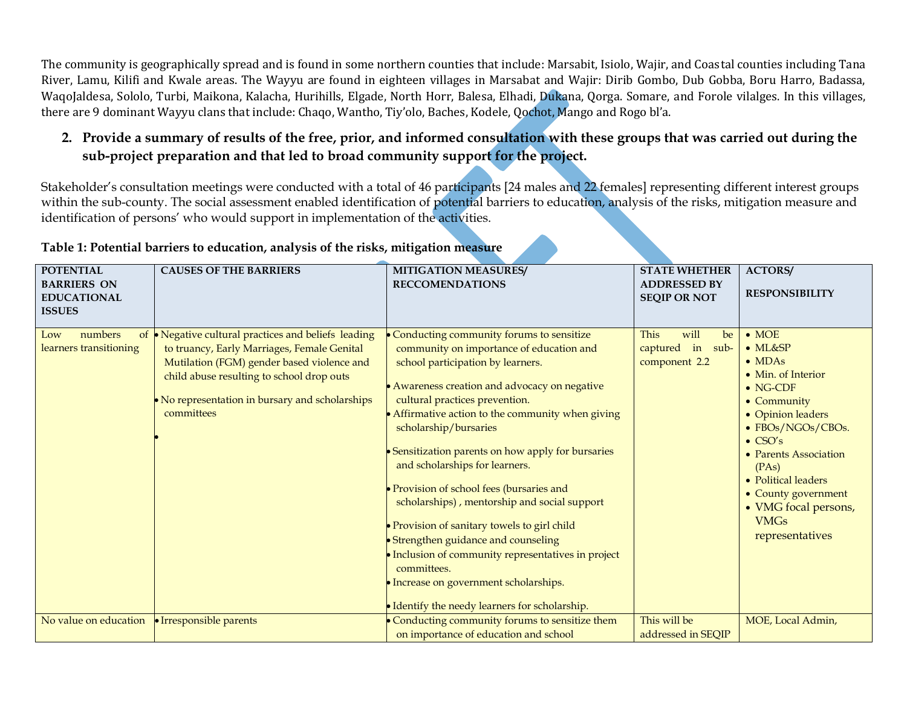The community is geographically spread and is found in some northern counties that include: Marsabit, Isiolo, Wajir, and Coastal counties including Tana River, Lamu, Kilifi and Kwale areas. The Wayyu are found in eighteen villages in Marsabat and Wajir: Dirib Gombo, Dub Gobba, Boru Harro, Badassa, WaqoJaldesa, Sololo, Turbi, Maikona, Kalacha, Hurihills, Elgade, North Horr, Balesa, Elhadi, Dukana, Qorga. Somare, and Forole vilalges. In this villages, there are 9 dominant Wayyu clans that include: Chaqo, Wantho, Tiy'olo, Baches, Kodele, Qochot, Mango and Rogo bl'a.

# **2. Provide a summary of results of the free, prior, and informed consultation with these groups that was carried out during the sub-project preparation and that led to broad community support for the project.**

Stakeholder's consultation meetings were conducted with a total of 46 participants [24 males and 22 females] representing different interest groups within the sub-county. The social assessment enabled identification of potential barriers to education, analysis of the risks, mitigation measure and identification of persons' who would support in implementation of the activities.

| <b>POTENTIAL</b>       | <b>CAUSES OF THE BARRIERS</b>                     | <b>MITIGATION MEASURES/</b>                         | <b>STATE WHETHER</b> | <b>ACTORS/</b>        |
|------------------------|---------------------------------------------------|-----------------------------------------------------|----------------------|-----------------------|
| <b>BARRIERS ON</b>     |                                                   | <b>RECCOMENDATIONS</b>                              | <b>ADDRESSED BY</b>  |                       |
| <b>EDUCATIONAL</b>     |                                                   |                                                     | <b>SEQIP OR NOT</b>  | <b>RESPONSIBILITY</b> |
| <b>ISSUES</b>          |                                                   |                                                     |                      |                       |
|                        |                                                   |                                                     |                      |                       |
| numbers<br>of<br>Low   | • Negative cultural practices and beliefs leading | Conducting community forums to sensitize            | This<br>will<br>be   | $\bullet$ MOE         |
| learners transitioning | to truancy, Early Marriages, Female Genital       | community on importance of education and            | captured in sub-     | $\bullet$ ML&SP       |
|                        | Mutilation (FGM) gender based violence and        | school participation by learners.                   | component 2.2        | $\bullet$ MDAs        |
|                        | child abuse resulting to school drop outs         |                                                     |                      | • Min. of Interior    |
|                        |                                                   | • Awareness creation and advocacy on negative       |                      | $\bullet$ NG-CDF      |
|                        | • No representation in bursary and scholarships   | cultural practices prevention.                      |                      | • Community           |
|                        | committees                                        | • Affirmative action to the community when giving   |                      | • Opinion leaders     |
|                        |                                                   | scholarship/bursaries                               |                      | • FBOs/NGOs/CBOs.     |
|                        |                                                   |                                                     |                      | $\bullet$ CSO's       |
|                        |                                                   | • Sensitization parents on how apply for bursaries  |                      | • Parents Association |
|                        |                                                   | and scholarships for learners.                      |                      | (PAs)                 |
|                        |                                                   |                                                     |                      | • Political leaders   |
|                        |                                                   | • Provision of school fees (bursaries and           |                      |                       |
|                        |                                                   | scholarships), mentorship and social support        |                      | • County government   |
|                        |                                                   |                                                     |                      | • VMG focal persons,  |
|                        |                                                   | • Provision of sanitary towels to girl child        |                      | <b>VMGs</b>           |
|                        |                                                   | • Strengthen guidance and counseling                |                      | representatives       |
|                        |                                                   | • Inclusion of community representatives in project |                      |                       |
|                        |                                                   | committees.                                         |                      |                       |
|                        |                                                   |                                                     |                      |                       |
|                        |                                                   | · Increase on government scholarships.              |                      |                       |
|                        |                                                   | • Identify the needy learners for scholarship.      |                      |                       |
| No value on education  | • Irresponsible parents                           | • Conducting community forums to sensitize them     | This will be         | MOE, Local Admin,     |
|                        |                                                   | on importance of education and school               | addressed in SEQIP   |                       |

### **Table 1: Potential barriers to education, analysis of the risks, mitigation measure**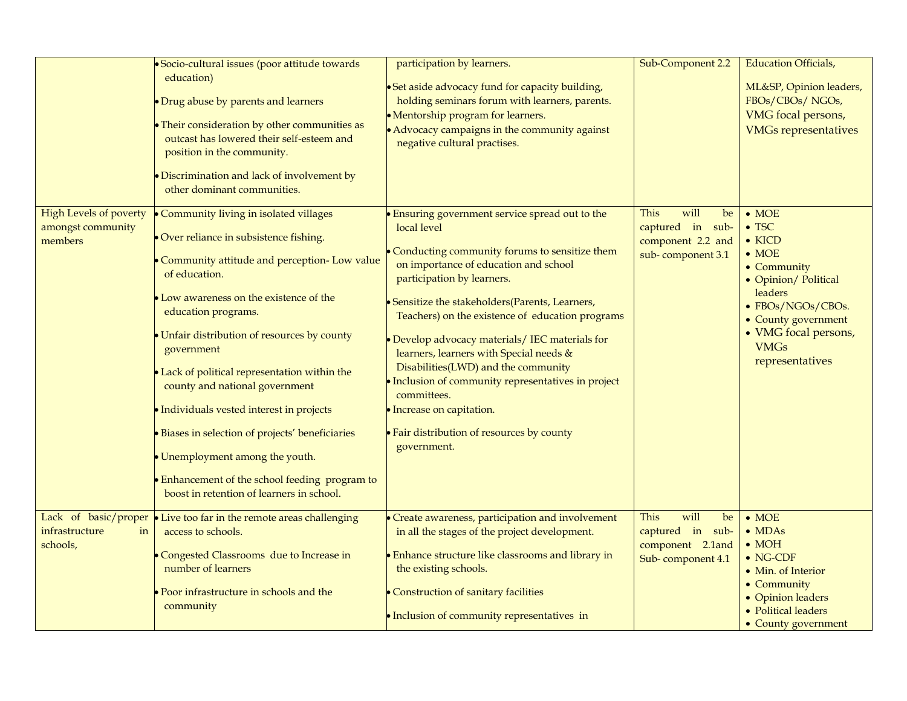|                                                        | · Socio-cultural issues (poor attitude towards<br>education)<br>• Drug abuse by parents and learners<br>• Their consideration by other communities as<br>outcast has lowered their self-esteem and<br>position in the community.<br>• Discrimination and lack of involvement by<br>other dominant communities.                                                                                                                                                                                                                                                                                            | participation by learners.<br>• Set aside advocacy fund for capacity building,<br>holding seminars forum with learners, parents.<br>• Mentorship program for learners.<br>• Advocacy campaigns in the community against<br>negative cultural practises.                                                                                                                                                                                                                                                                                                                                           | Sub-Component 2.2                                                                | <b>Education Officials,</b><br>ML&SP, Opinion leaders,<br>FBOs/CBOs/NGOs,<br>VMG focal persons,<br><b>VMGs representatives</b>                                                                                                    |
|--------------------------------------------------------|-----------------------------------------------------------------------------------------------------------------------------------------------------------------------------------------------------------------------------------------------------------------------------------------------------------------------------------------------------------------------------------------------------------------------------------------------------------------------------------------------------------------------------------------------------------------------------------------------------------|---------------------------------------------------------------------------------------------------------------------------------------------------------------------------------------------------------------------------------------------------------------------------------------------------------------------------------------------------------------------------------------------------------------------------------------------------------------------------------------------------------------------------------------------------------------------------------------------------|----------------------------------------------------------------------------------|-----------------------------------------------------------------------------------------------------------------------------------------------------------------------------------------------------------------------------------|
| High Levels of poverty<br>amongst community<br>members | • Community living in isolated villages<br>Over reliance in subsistence fishing.<br>• Community attitude and perception- Low value<br>of education.<br>• Low awareness on the existence of the<br>education programs.<br>• Unfair distribution of resources by county<br>government<br>• Lack of political representation within the<br>county and national government<br>· Individuals vested interest in projects<br>· Biases in selection of projects' beneficiaries<br>• Unemployment among the youth.<br>• Enhancement of the school feeding program to<br>boost in retention of learners in school. | Ensuring government service spread out to the<br>local level<br>Conducting community forums to sensitize them<br>on importance of education and school<br>participation by learners.<br>• Sensitize the stakeholders (Parents, Learners,<br>Teachers) on the existence of education programs<br>· Develop advocacy materials/ IEC materials for<br>learners, learners with Special needs &<br>Disabilities(LWD) and the community<br>· Inclusion of community representatives in project<br>committees.<br>· Increase on capitation.<br>• Fair distribution of resources by county<br>government. | This<br>will<br>be<br>captured in sub-<br>component 2.2 and<br>sub-component 3.1 | $\bullet$ MOE<br>$\bullet$ TSC<br>$\bullet$ KICD<br>$\bullet$ MOE<br>$\bullet$ Community<br>• Opinion/ Political<br>leaders<br>• FBOs/NGOs/CBOs.<br>• County government<br>• VMG focal persons,<br><b>VMGs</b><br>representatives |
| infrastructure<br>in<br>schools,                       | Lack of basic/proper   Live too far in the remote areas challenging<br>access to schools.<br>Congested Classrooms due to Increase in<br>number of learners<br>Poor infrastructure in schools and the<br>community                                                                                                                                                                                                                                                                                                                                                                                         | • Create awareness, participation and involvement<br>in all the stages of the project development.<br>• Enhance structure like classrooms and library in<br>the existing schools.<br>• Construction of sanitary facilities<br>• Inclusion of community representatives in                                                                                                                                                                                                                                                                                                                         | This<br>will<br>be<br>captured in sub-<br>component 2.1and<br>Sub-component 4.1  | $\bullet$ MOE<br>$\bullet$ MDAs<br>$\bullet$ MOH<br>$\bullet$ NG-CDF<br>• Min. of Interior<br>• Community<br>• Opinion leaders<br>• Political leaders<br>• County government                                                      |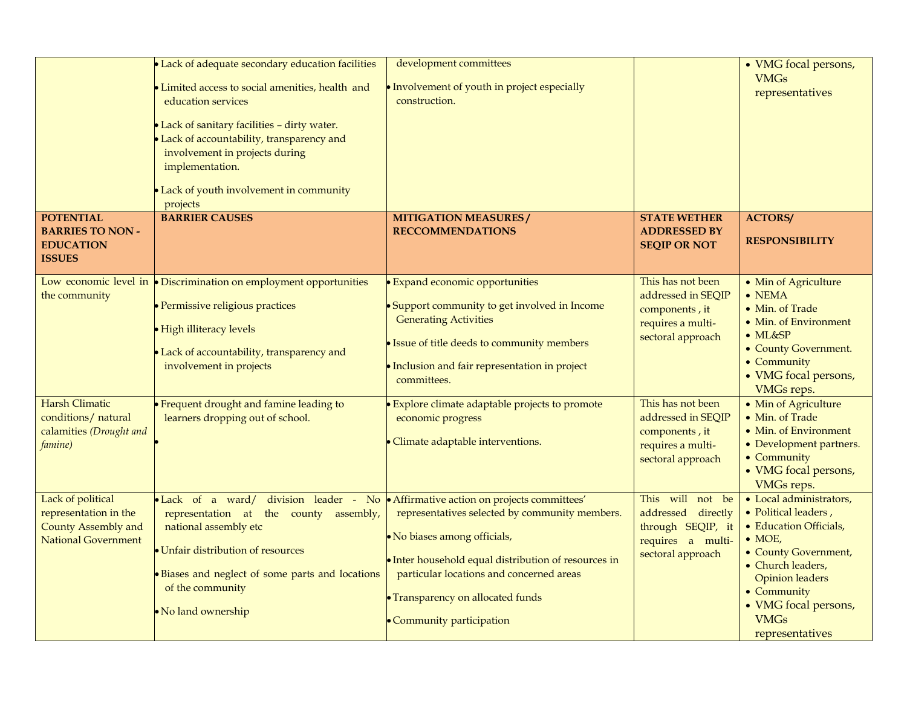|                                                                                                     | • Lack of adequate secondary education facilities<br>Limited access to social amenities, health and<br>education services<br>• Lack of sanitary facilities - dirty water.<br>Lack of accountability, transparency and<br>involvement in projects during<br>implementation.<br>Lack of youth involvement in community<br>projects | development committees<br>• Involvement of youth in project especially<br>construction.                                                                                                                                                                                                                                                           |                                                                                                                                                                                                            | • VMG focal persons,<br><b>VMGs</b><br>representatives                                                                                                                                                                                                                                                  |
|-----------------------------------------------------------------------------------------------------|----------------------------------------------------------------------------------------------------------------------------------------------------------------------------------------------------------------------------------------------------------------------------------------------------------------------------------|---------------------------------------------------------------------------------------------------------------------------------------------------------------------------------------------------------------------------------------------------------------------------------------------------------------------------------------------------|------------------------------------------------------------------------------------------------------------------------------------------------------------------------------------------------------------|---------------------------------------------------------------------------------------------------------------------------------------------------------------------------------------------------------------------------------------------------------------------------------------------------------|
| <b>POTENTIAL</b><br><b>BARRIES TO NON -</b><br><b>EDUCATION</b><br><b>ISSUES</b>                    | <b>BARRIER CAUSES</b>                                                                                                                                                                                                                                                                                                            | <b>MITIGATION MEASURES/</b><br><b>RECCOMMENDATIONS</b>                                                                                                                                                                                                                                                                                            | <b>STATE WETHER</b><br><b>ADDRESSED BY</b><br><b>SEQIP OR NOT</b>                                                                                                                                          | <b>ACTORS/</b><br><b>RESPONSIBILITY</b>                                                                                                                                                                                                                                                                 |
| the community<br><b>Harsh Climatic</b><br>conditions/ natural<br>calamities (Drought and<br>famine) | Low economic level in $\bullet$ Discrimination on employment opportunities<br>· Permissive religious practices<br>High illiteracy levels<br>Lack of accountability, transparency and<br>involvement in projects<br>Frequent drought and famine leading to<br>learners dropping out of school.                                    | <b>Expand economic opportunities</b><br>• Support community to get involved in Income<br><b>Generating Activities</b><br>· Issue of title deeds to community members<br>• Inclusion and fair representation in project<br>committees.<br>Explore climate adaptable projects to promote<br>economic progress<br>· Climate adaptable interventions. | This has not been<br>addressed in SEQIP<br>components, it<br>requires a multi-<br>sectoral approach<br>This has not been<br>addressed in SEQIP<br>components, it<br>requires a multi-<br>sectoral approach | • Min of Agriculture<br>$\bullet$ NEMA<br>• Min. of Trade<br>• Min. of Environment<br>$\bullet$ ML&SP<br>• County Government.<br>• Community<br>• VMG focal persons,<br><b>VMGs reps.</b><br>• Min of Agriculture<br>• Min. of Trade<br>• Min. of Environment<br>• Development partners.<br>• Community |
| Lack of political<br>representation in the<br>County Assembly and<br><b>National Government</b>     | • Lack of a ward/ division leader - No • Affirmative action on projects committees'<br>representation at the county assembly,<br>national assembly etc<br>• Unfair distribution of resources<br>· Biases and neglect of some parts and locations<br>of the community<br>• No land ownership                                      | representatives selected by community members.<br>• No biases among officials,<br>• Inter household equal distribution of resources in<br>particular locations and concerned areas<br>• Transparency on allocated funds<br>• Community participation                                                                                              | This will not be<br>addressed directly<br>through SEQIP, it<br>requires a multi-<br>sectoral approach                                                                                                      | • VMG focal persons,<br>VMGs reps.<br>• Local administrators,<br>· Political leaders,<br>• Education Officials,<br>$\bullet$ MOE,<br>• County Government,<br>• Church leaders,<br><b>Opinion</b> leaders<br>• Community<br>• VMG focal persons,<br><b>VMGs</b><br>representatives                       |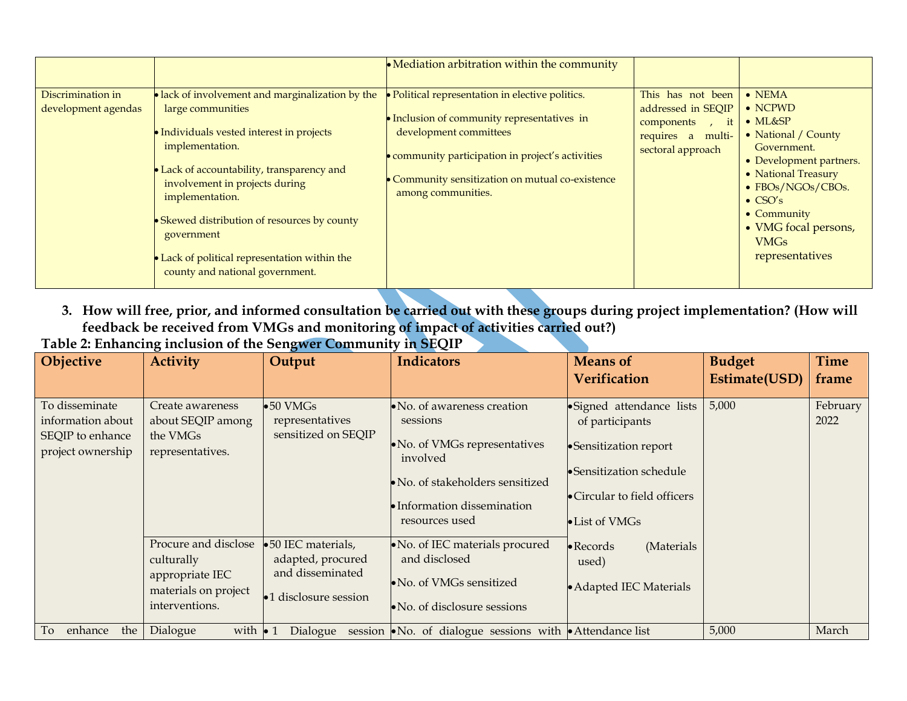|                                          |                                                                                                                                                                                                                                                                                                                                                                                          | • Mediation arbitration within the community                                                                                                                                                                                                           |                                                                                                        |                                                                                                                                                                                                                                                                       |
|------------------------------------------|------------------------------------------------------------------------------------------------------------------------------------------------------------------------------------------------------------------------------------------------------------------------------------------------------------------------------------------------------------------------------------------|--------------------------------------------------------------------------------------------------------------------------------------------------------------------------------------------------------------------------------------------------------|--------------------------------------------------------------------------------------------------------|-----------------------------------------------------------------------------------------------------------------------------------------------------------------------------------------------------------------------------------------------------------------------|
| Discrimination in<br>development agendas | • lack of involvement and marginalization by the<br>large communities<br>• Individuals vested interest in projects<br>implementation.<br>• Lack of accountability, transparency and<br>involvement in projects during<br>implementation.<br>• Skewed distribution of resources by county<br>government<br>Lack of political representation within the<br>county and national government. | · Political representation in elective politics.<br>• Inclusion of community representatives in<br>development committees<br>• community participation in project's activities<br>Community sensitization on mutual co-existence<br>among communities. | This has not been<br>addressed in SEQIP<br>components,<br>it<br>requires a multi-<br>sectoral approach | $\bullet$ NEMA<br>$\bullet$ NCPWD<br>$\bullet$ ML&SP<br>• National / County<br>Government.<br>• Development partners.<br>• National Treasury<br>• FBOs/NGOs/CBOs.<br>$\bullet$ CSO's<br>$\bullet$ Community<br>• VMG focal persons,<br><b>VMGs</b><br>representatives |

**3. How will free, prior, and informed consultation be carried out with these groups during project implementation? (How will feedback be received from VMGs and monitoring of impact of activities carried out?) Table 2: Enhancing inclusion of the Sengwer Community in SEQIP**

| Objective                                                                    | <b>Activity</b>                                                                                 | Output                                                                                                                                                                                                                                                   | <b>Indicators</b>                                                                                          | <b>Means of</b>                                                                                                                                    | <b>Budget</b> | <b>Time</b>      |
|------------------------------------------------------------------------------|-------------------------------------------------------------------------------------------------|----------------------------------------------------------------------------------------------------------------------------------------------------------------------------------------------------------------------------------------------------------|------------------------------------------------------------------------------------------------------------|----------------------------------------------------------------------------------------------------------------------------------------------------|---------------|------------------|
|                                                                              |                                                                                                 |                                                                                                                                                                                                                                                          |                                                                                                            | <b>Verification</b>                                                                                                                                | Estimate(USD) | frame            |
| To disseminate<br>information about<br>SEQIP to enhance<br>project ownership | Create awareness<br>about SEQIP among<br>the VMGs<br>representatives.                           | $\bullet 50$ VMGs<br>$\bullet$ No. of awareness creation<br>representatives<br>sessions<br>sensitized on SEQIP<br>• No. of VMGs representatives<br>involved<br>• No. of stakeholders sensitized<br>$\bullet$ Information dissemination<br>resources used |                                                                                                            | ·Signed attendance lists<br>of participants<br>•Sensitization report<br>• Sensitization schedule<br>• Circular to field officers<br>• List of VMGs | 5,000         | February<br>2022 |
|                                                                              | Procure and disclose<br>culturally<br>appropriate IEC<br>materials on project<br>interventions. | •50 IEC materials,<br>adapted, procured<br>and disseminated<br>•1 disclosure session                                                                                                                                                                     | No. of IEC materials procured<br>and disclosed<br>• No. of VMGs sensitized<br>• No. of disclosure sessions | (Materials<br>$\bullet$ Records<br>used)<br>• Adapted IEC Materials                                                                                |               |                  |
| enhance<br>the<br>To                                                         | with $\bullet$ 1<br>Dialogue                                                                    |                                                                                                                                                                                                                                                          | Dialogue session $\bullet$ No. of dialogue sessions with $\bullet$ Attendance list                         |                                                                                                                                                    | 5,000         | March            |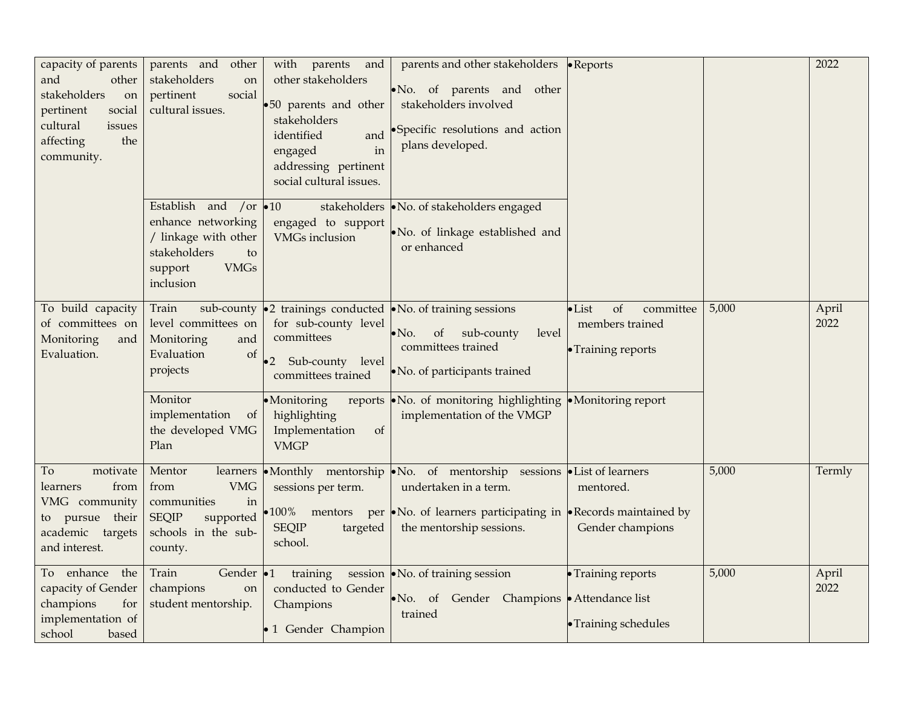| capacity of parents<br>and<br>other<br>stakeholders<br>on<br>pertinent<br>social<br>cultural<br>issues<br>affecting<br>the<br>community. | other<br>parents and<br>stakeholders<br>on<br>pertinent<br>social<br>cultural issues.                                                     | with<br>parents<br>and<br>other stakeholders<br>.50 parents and other<br>stakeholders<br>identified<br>and<br>engaged<br>in<br>addressing pertinent<br>social cultural issues. | parents and other stakeholders •Reports<br>No. of parents and other<br>stakeholders involved<br>Specific resolutions and action<br>plans developed.                                    |                                                                            |       | 2022          |
|------------------------------------------------------------------------------------------------------------------------------------------|-------------------------------------------------------------------------------------------------------------------------------------------|--------------------------------------------------------------------------------------------------------------------------------------------------------------------------------|----------------------------------------------------------------------------------------------------------------------------------------------------------------------------------------|----------------------------------------------------------------------------|-------|---------------|
|                                                                                                                                          | Establish and /or $\bullet$ 10<br>enhance networking<br>/ linkage with other<br>stakeholders<br>to<br><b>VMGs</b><br>support<br>inclusion | engaged to support<br><b>VMGs</b> inclusion                                                                                                                                    | stakeholders • No. of stakeholders engaged<br>No. of linkage established and<br>or enhanced                                                                                            |                                                                            |       |               |
| To build capacity<br>of committees on<br>Monitoring<br>and<br>Evaluation.                                                                | Train<br>sub-county<br>level committees on<br>Monitoring<br>and<br>Evaluation<br>of<br>projects                                           | for sub-county level<br>committees<br>Sub-county level<br>$\cdot$ 2<br>committees trained                                                                                      | $\bullet$ 2 trainings conducted $\bullet$ No. of training sessions<br>sub-county<br>$\bullet$ No.<br>of<br>level<br>committees trained<br>• No. of participants trained                | of<br>committee<br>$\bullet$ List<br>members trained<br>• Training reports | 5,000 | April<br>2022 |
|                                                                                                                                          | Monitor<br>implementation<br>of<br>the developed VMG<br>Plan                                                                              | • Monitoring<br>reports<br>highlighting<br>Implementation<br>of<br><b>VMGP</b>                                                                                                 | • No. of monitoring highlighting • Monitoring report<br>implementation of the VMGP                                                                                                     |                                                                            |       |               |
| To<br>motivate<br>from<br>learners<br>VMG community<br>to pursue their<br>academic targets<br>and interest.                              | Mentor<br>learners<br><b>VMG</b><br>from<br>communities<br>in<br><b>SEQIP</b><br>supported<br>schools in the sub-<br>county.              | sessions per term.<br>100% mentors<br><b>SEQIP</b><br>targeted<br>school.                                                                                                      | •Monthly mentorship •No. of mentorship sessions •List of learners<br>undertaken in a term.<br>per •No. of learners participating in •Records maintained by<br>the mentorship sessions. | mentored.<br>Gender champions                                              | 5,000 | Termly        |
| To enhance the<br>capacity of Gender<br>champions<br>for<br>implementation of<br>school<br>based                                         | Train<br>Gender $\cdot$ 1<br>champions<br>on<br>student mentorship.                                                                       | training<br>conducted to Gender<br>Champions<br>• 1 Gender Champion                                                                                                            | session • No. of training session<br>• No. of Gender Champions • Attendance list<br>trained                                                                                            | • Training reports<br>• Training schedules                                 | 5,000 | April<br>2022 |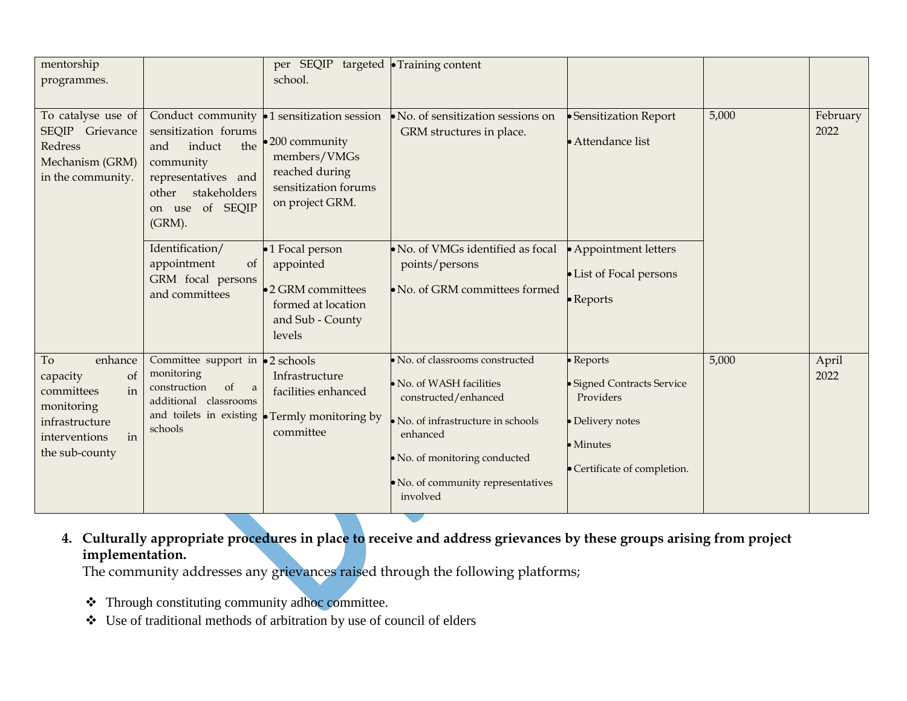| mentorship<br>programmes.                                                                                                               |                                                                                                                                                                | per SEQIP targeted Training content<br>school.                                                                          |                                                                                                                                                                                                                  |                                                                                                                       |       |                  |
|-----------------------------------------------------------------------------------------------------------------------------------------|----------------------------------------------------------------------------------------------------------------------------------------------------------------|-------------------------------------------------------------------------------------------------------------------------|------------------------------------------------------------------------------------------------------------------------------------------------------------------------------------------------------------------|-----------------------------------------------------------------------------------------------------------------------|-------|------------------|
| To catalyse use of<br>SEQIP Grievance<br>Redress<br>Mechanism (GRM)<br>in the community.                                                | Conduct community<br>sensitization forums<br>the<br>induct<br>and<br>community<br>representatives and<br>stakeholders<br>other<br>on use of SEQIP<br>$(GRM)$ . | •1 sensitization session<br>•200 community<br>members/VMGs<br>reached during<br>sensitization forums<br>on project GRM. | No. of sensitization sessions on<br>GRM structures in place.                                                                                                                                                     | • Sensitization Report<br>• Attendance list                                                                           | 5,000 | February<br>2022 |
|                                                                                                                                         | Identification/<br>appointment<br>of<br>GRM focal persons<br>and committees                                                                                    | •1 Focal person<br>appointed<br>•2 GRM committees<br>formed at location<br>and Sub - County<br>levels                   | No. of VMGs identified as focal<br>points/persons<br>No. of GRM committees formed                                                                                                                                | • Appointment letters<br>• List of Focal persons<br>$\bullet$ Reports                                                 |       |                  |
| To<br>enhance<br>capacity<br><sub>ot</sub><br>in<br>committees<br>monitoring<br>infrastructure<br>interventions<br>in<br>the sub-county | Committee support in<br>monitoring<br>of<br>construction<br>$\alpha$<br>additional classrooms<br>and toilets in existing<br>schools                            | $\bullet$ 2 schools<br>Infrastructure<br>facilities enhanced<br>• Termly monitoring by<br>committee                     | No. of classrooms constructed<br>No. of WASH facilities<br>constructed/enhanced<br>No. of infrastructure in schools<br>enhanced<br>· No. of monitoring conducted<br>No. of community representatives<br>involved | • Reports<br>· Signed Contracts Service<br>Providers<br>· Delivery notes<br>• Minutes<br>• Certificate of completion. | 5,000 | April<br>2022    |

**4. Culturally appropriate procedures in place to receive and address grievances by these groups arising from project implementation.** 

The community addresses any grievances raised through the following platforms;

- ❖ Through constituting community adhoc committee.
- ❖ Use of traditional methods of arbitration by use of council of elders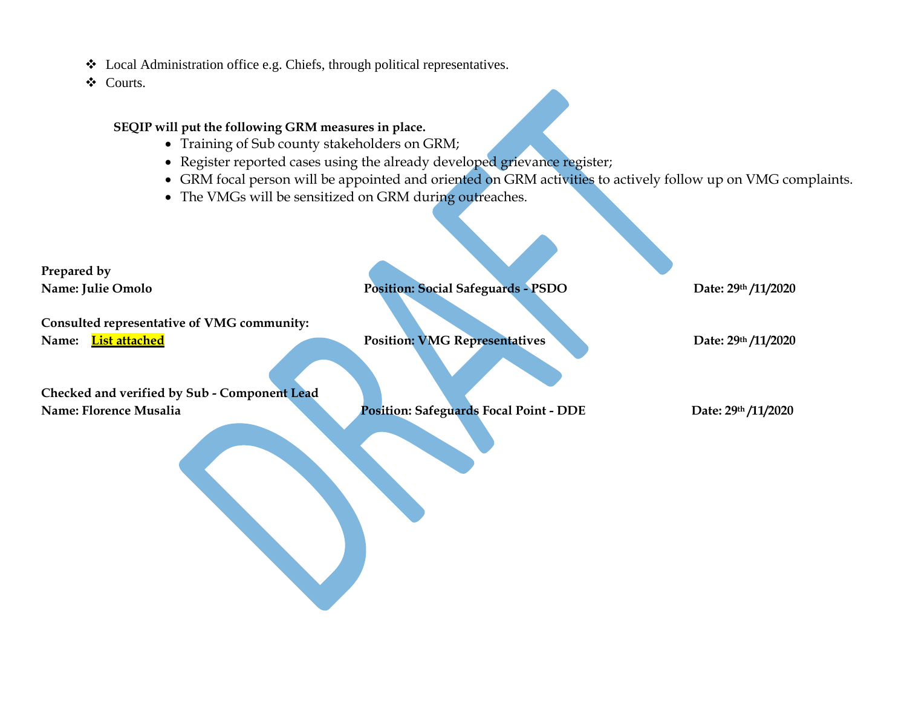❖ Local Administration office e.g. Chiefs, through political representatives.

❖ Courts.

#### **SEQIP will put the following GRM measures in place.**

- Training of Sub county stakeholders on GRM;
- Register reported cases using the already developed grievance register;
- GRM focal person will be appointed and oriented on GRM activities to actively follow up on VMG complaints.
- The VMGs will be sensitized on GRM during outreaches.

| Prepared by                                  |                                               |                     |
|----------------------------------------------|-----------------------------------------------|---------------------|
| Name: Julie Omolo                            | <b>Position: Social Safeguards - PSDO</b>     | Date: 29th /11/2020 |
| Consulted representative of VMG community:   |                                               |                     |
|                                              |                                               |                     |
| List attached<br>Name:                       | <b>Position: VMG Representatives</b>          | Date: 29th /11/2020 |
| Checked and verified by Sub - Component Lead |                                               |                     |
| Name: Florence Musalia                       | <b>Position: Safeguards Focal Point - DDE</b> | Date: 29th /11/2020 |
|                                              |                                               |                     |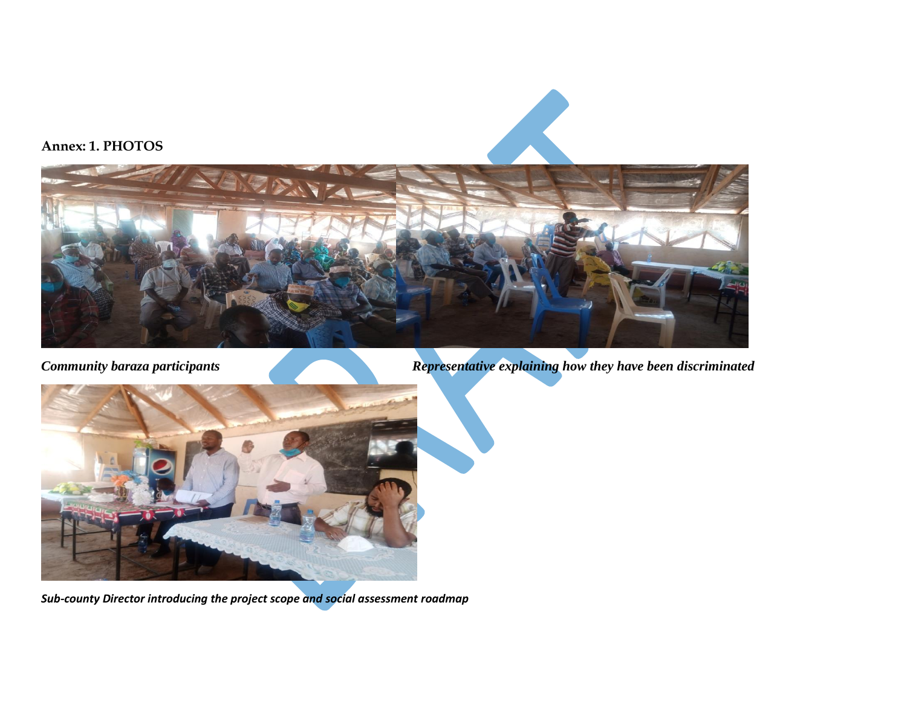

*Community baraza participants Representative explaining how they have been discriminated* 



*Sub-county Director introducing the project scope and social assessment roadmap*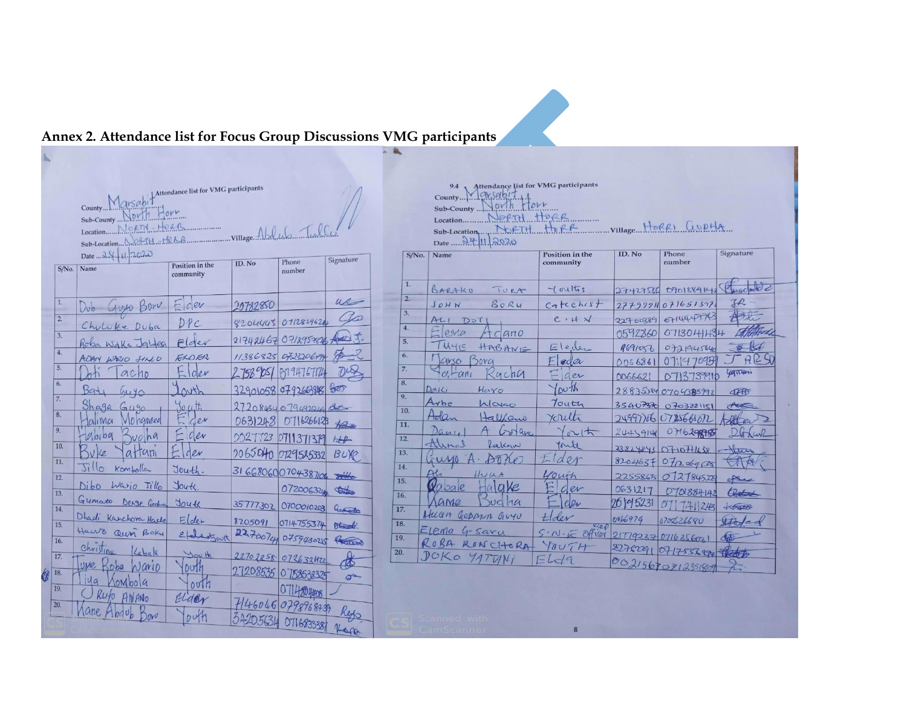# **Annex 2. Attendance list for Focus Group Discussions VMG participants**

| Attendance list for VMG participants<br>Marsab<br>County<br>lorr<br>$N$ <i>Dr11</i><br>Sub-County<br>Willage Abdech Tulle<br>HORR<br>JORTH<br>Location<br>Sub-Location Nofflit +force<br>Date  24.41. 2020<br>Signature<br>Phone<br>ID. No |                                           |                              |             |                     |              |  |  |
|--------------------------------------------------------------------------------------------------------------------------------------------------------------------------------------------------------------------------------------------|-------------------------------------------|------------------------------|-------------|---------------------|--------------|--|--|
| S/No.                                                                                                                                                                                                                                      | Name                                      | Position in the<br>community |             | number              |              |  |  |
| 1.                                                                                                                                                                                                                                         | Guyo Bor<br>Dub-                          | $c$ er                       | 20782850    |                     | u            |  |  |
| $\overline{2}$ .                                                                                                                                                                                                                           | Chuluke Duba                              | DPC                          | 8204445     | 0712829624          |              |  |  |
| 3.                                                                                                                                                                                                                                         | Roba Wake Jaldeg                          | $F$ der                      |             | 21742462 071295382  |              |  |  |
| 4.                                                                                                                                                                                                                                         | ADAN WARIO JILO                           | ELDER                        |             | 11386825 0723206494 |              |  |  |
| 5.                                                                                                                                                                                                                                         | ACAD                                      | der                          | $2758°$ ps1 | 619476714           |              |  |  |
| 6.                                                                                                                                                                                                                                         | 39t1<br>4040                              | $\Delta v$ th                |             | 32901058 0792663816 | BRO          |  |  |
| 7.                                                                                                                                                                                                                                         | Shaga<br>$Gu$ go                          | 101.16                       |             | 27208454079492914   |              |  |  |
| 8.<br>9.                                                                                                                                                                                                                                   | lohamed<br>alima                          | $C$ er                       | 0631248     | 0716266123          | forting.     |  |  |
| 10.                                                                                                                                                                                                                                        | $M_{01}$ $04$<br>volna                    | cer                          | 0027723     | 0711371379          | H            |  |  |
| 11.                                                                                                                                                                                                                                        | V 2e<br>atrani                            | der                          | 2065040     | 0129525332          | BUXP         |  |  |
| 12.                                                                                                                                                                                                                                        | 5illo<br>Komballer                        | Jouth.                       |             | 31 6680600704387100 |              |  |  |
| 13.                                                                                                                                                                                                                                        | Niho<br>Wario Jillo                       | Joute                        |             | 072006324           | <b>STATE</b> |  |  |
| 14.                                                                                                                                                                                                                                        | Gumato<br>Denge Godan                     | Jouth                        | 35777302    | O700010203          | Germando     |  |  |
| 15.                                                                                                                                                                                                                                        | Dhadi Karchora Hacke                      | $E$ lder                     | 8205091     | 0714755374          | 65           |  |  |
| 16.                                                                                                                                                                                                                                        | Haws Quin Boky                            | Etabertzouth                 |             | 2270074 075943025   | Record       |  |  |
| 17.                                                                                                                                                                                                                                        | christing<br>Labale                       | You th                       |             | 22702258 0726321922 | ₭            |  |  |
| 18.                                                                                                                                                                                                                                        | uneF<br>$\zeta_{\mathcal{D}}$ ba<br>Wario | $D\nU f h$                   | 27208535    | 0 758538325         | $\sigma$     |  |  |
| 19.                                                                                                                                                                                                                                        | 49<br>ombola                              | $\text{out}$                 |             | 114804408           |              |  |  |
| 20.                                                                                                                                                                                                                                        | Rufo AMANO<br>ane.                        | Elder                        |             | 7146046079896878    |              |  |  |
|                                                                                                                                                                                                                                            | Adab<br>ovU                               | DWH                          |             | 34205634 0716833387 | 1600         |  |  |
|                                                                                                                                                                                                                                            |                                           |                              |             |                     |              |  |  |

| Location NOFTH HORR                         |
|---------------------------------------------|
| Sub-Location NORTH HORR Willage HORRI GUDHA |

 $Date = \frac{\partial \psi}{\partial \Omega}$ 

| $S/N0$ .                             | Name                    | <b>Position in the</b><br>community | ID. No     | Phone<br>number                              | Signature       |
|--------------------------------------|-------------------------|-------------------------------------|------------|----------------------------------------------|-----------------|
|                                      |                         |                                     |            |                                              |                 |
| 1.                                   | BARAKO<br>TURA          | $-1$ oultrs                         | 2742756    | 070188414                                    | $\frac{1}{2}$   |
| $\overline{2}$ .                     | $B_0 R$ u<br>JOHN       | Catechist                           |            | 27799911071651397                            | JR              |
| $\overline{3}$ .                     | At1<br>DoT              | $C$ , $H N$                         | 22700384   | 6714447743                                   |                 |
| $\overline{4}$ .                     | $E$ ento<br><b>Ano</b>  |                                     | 0592860    | 0713041434                                   |                 |
| $\overline{5}$ .                     | WYE<br>HABANE           | $E$ leder                           | 4691056    | 0721945640                                   | Hurst           |
| 6.                                   | <b>Arso</b><br>ora      | $E$ eder                            | 0066861    | 0711970959                                   | RZ              |
| $\overline{7}$ .                     | $R$ gch $a$<br>$c, -an$ | $F$ der                             | DD66621    | 713739910<br>∩                               | <i>Lightyni</i> |
| $\overline{8}$ .                     | DalLi<br>Haro           | 100th                               |            | 288353840704388992                           | <b>CREB</b>     |
| $\overline{9}$ .                     | Arbe<br>Wage            | Touth                               | 35407370   | 0703221151                                   | Acce            |
| 10.<br>11.                           | Adan<br>Halkano         | Youth                               |            | 24997766 0725668072                          | Telet           |
|                                      | Danie<br>5or anc        | Youth                               | 2443914    | 0716298755                                   |                 |
| 12.                                  | Alinal<br>Lakgw         | fould                               |            | 23824843 OHOHUS8                             | Herry           |
| 13.                                  | $\tilde{\Lambda}$ UMO   | $d\rho r$                           |            | 8204637 071206958                            |                 |
| $\overline{4}$ .                     | HUIA                    | youth                               |            | 22558675 0727845229                          | Aus             |
| $\overline{5}$ .<br>$\overline{6}$ . | alake<br>Wobale         | ger                                 | 0631217    | 0701884142                                   | Olatord         |
|                                      | $\alpha$ Me<br>vol1a    | clev                                | 26 19 5231 | 071741243                                    | KOUNC           |
| $\overline{7.}$                      | HUAN GODANN GUYU        | Ler                                 | 0066979    | 0705626680                                   | Hoded           |
| 8.                                   | Elema G-Saru            | V2eD<br>$S \cdot N \cdot E$ officer |            |                                              |                 |
| 9.                                   | ROBA RONCHORA           | YOUTH                               |            | 21779237 0716256021                          | d <sub>th</sub> |
| $\overline{\mathbf{L}}$              | DOKO YATUNI             | $\sqsubset$<br>L <sub>d</sub>       |            | 2276291 0717556290 1200<br>00215670712351809 |                 |
|                                      |                         |                                     |            |                                              |                 |

8

 $\begin{array}{c|c} 1 & 1 \\ \hline 1 & 1 \end{array}$